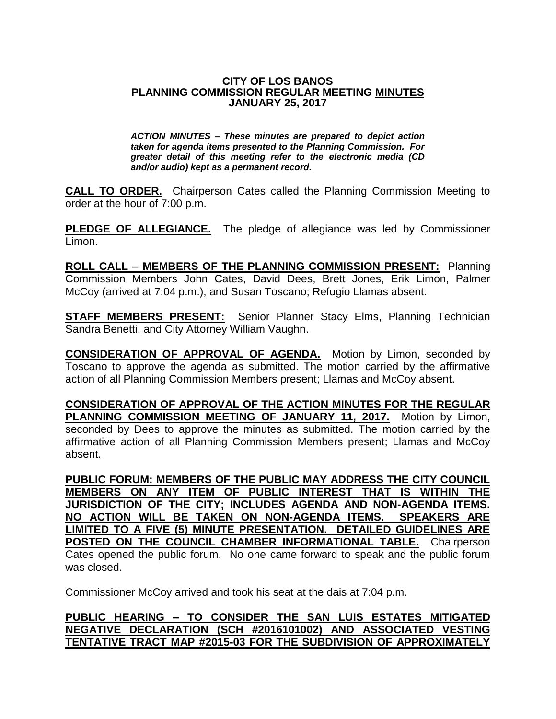## **CITY OF LOS BANOS PLANNING COMMISSION REGULAR MEETING MINUTES JANUARY 25, 2017**

*ACTION MINUTES – These minutes are prepared to depict action taken for agenda items presented to the Planning Commission. For greater detail of this meeting refer to the electronic media (CD and/or audio) kept as a permanent record.*

**CALL TO ORDER.** Chairperson Cates called the Planning Commission Meeting to order at the hour of 7:00 p.m.

**PLEDGE OF ALLEGIANCE.** The pledge of allegiance was led by Commissioner Limon.

**ROLL CALL – MEMBERS OF THE PLANNING COMMISSION PRESENT:** Planning Commission Members John Cates, David Dees, Brett Jones, Erik Limon, Palmer McCoy (arrived at 7:04 p.m.), and Susan Toscano; Refugio Llamas absent.

**STAFF MEMBERS PRESENT:** Senior Planner Stacy Elms, Planning Technician Sandra Benetti, and City Attorney William Vaughn.

**CONSIDERATION OF APPROVAL OF AGENDA.** Motion by Limon, seconded by Toscano to approve the agenda as submitted. The motion carried by the affirmative action of all Planning Commission Members present; Llamas and McCoy absent.

**CONSIDERATION OF APPROVAL OF THE ACTION MINUTES FOR THE REGULAR** PLANNING COMMISSION MEETING OF JANUARY 11, 2017. Motion by Limon, seconded by Dees to approve the minutes as submitted. The motion carried by the affirmative action of all Planning Commission Members present; Llamas and McCoy absent.

**PUBLIC FORUM: MEMBERS OF THE PUBLIC MAY ADDRESS THE CITY COUNCIL MEMBERS ON ANY ITEM OF PUBLIC INTEREST THAT IS WITHIN THE JURISDICTION OF THE CITY; INCLUDES AGENDA AND NON-AGENDA ITEMS. NO ACTION WILL BE TAKEN ON NON-AGENDA ITEMS. SPEAKERS ARE LIMITED TO A FIVE (5) MINUTE PRESENTATION. DETAILED GUIDELINES ARE POSTED ON THE COUNCIL CHAMBER INFORMATIONAL TABLE.** Chairperson Cates opened the public forum. No one came forward to speak and the public forum was closed.

Commissioner McCoy arrived and took his seat at the dais at 7:04 p.m.

## **PUBLIC HEARING – TO CONSIDER THE SAN LUIS ESTATES MITIGATED NEGATIVE DECLARATION (SCH #2016101002) AND ASSOCIATED VESTING TENTATIVE TRACT MAP #2015-03 FOR THE SUBDIVISION OF APPROXIMATELY**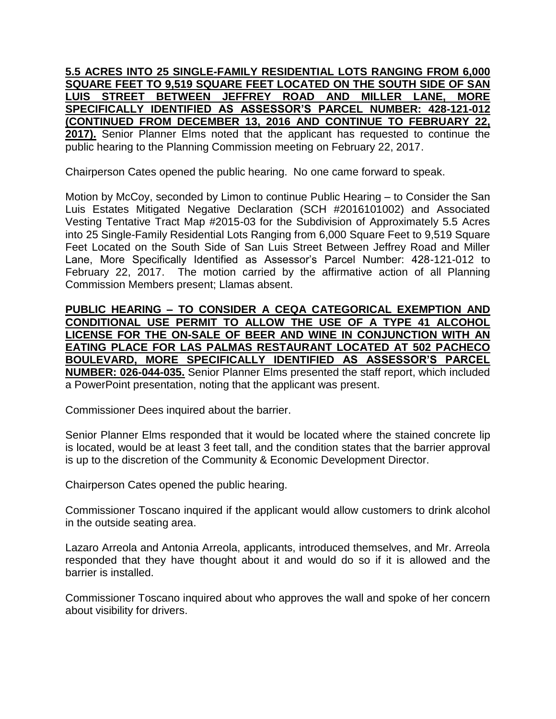**5.5 ACRES INTO 25 SINGLE-FAMILY RESIDENTIAL LOTS RANGING FROM 6,000 SQUARE FEET TO 9,519 SQUARE FEET LOCATED ON THE SOUTH SIDE OF SAN LUIS STREET BETWEEN JEFFREY ROAD AND MILLER LANE, MORE SPECIFICALLY IDENTIFIED AS ASSESSOR'S PARCEL NUMBER: 428-121-012 (CONTINUED FROM DECEMBER 13, 2016 AND CONTINUE TO FEBRUARY 22, 2017).** Senior Planner Elms noted that the applicant has requested to continue the public hearing to the Planning Commission meeting on February 22, 2017.

Chairperson Cates opened the public hearing. No one came forward to speak.

Motion by McCoy, seconded by Limon to continue Public Hearing – to Consider the San Luis Estates Mitigated Negative Declaration (SCH #2016101002) and Associated Vesting Tentative Tract Map #2015-03 for the Subdivision of Approximately 5.5 Acres into 25 Single-Family Residential Lots Ranging from 6,000 Square Feet to 9,519 Square Feet Located on the South Side of San Luis Street Between Jeffrey Road and Miller Lane, More Specifically Identified as Assessor's Parcel Number: 428-121-012 to February 22, 2017. The motion carried by the affirmative action of all Planning Commission Members present; Llamas absent.

**PUBLIC HEARING – TO CONSIDER A CEQA CATEGORICAL EXEMPTION AND CONDITIONAL USE PERMIT TO ALLOW THE USE OF A TYPE 41 ALCOHOL LICENSE FOR THE ON-SALE OF BEER AND WINE IN CONJUNCTION WITH AN EATING PLACE FOR LAS PALMAS RESTAURANT LOCATED AT 502 PACHECO BOULEVARD, MORE SPECIFICALLY IDENTIFIED AS ASSESSOR'S PARCEL NUMBER: 026-044-035.** Senior Planner Elms presented the staff report, which included a PowerPoint presentation, noting that the applicant was present.

Commissioner Dees inquired about the barrier.

Senior Planner Elms responded that it would be located where the stained concrete lip is located, would be at least 3 feet tall, and the condition states that the barrier approval is up to the discretion of the Community & Economic Development Director.

Chairperson Cates opened the public hearing.

Commissioner Toscano inquired if the applicant would allow customers to drink alcohol in the outside seating area.

Lazaro Arreola and Antonia Arreola, applicants, introduced themselves, and Mr. Arreola responded that they have thought about it and would do so if it is allowed and the barrier is installed.

Commissioner Toscano inquired about who approves the wall and spoke of her concern about visibility for drivers.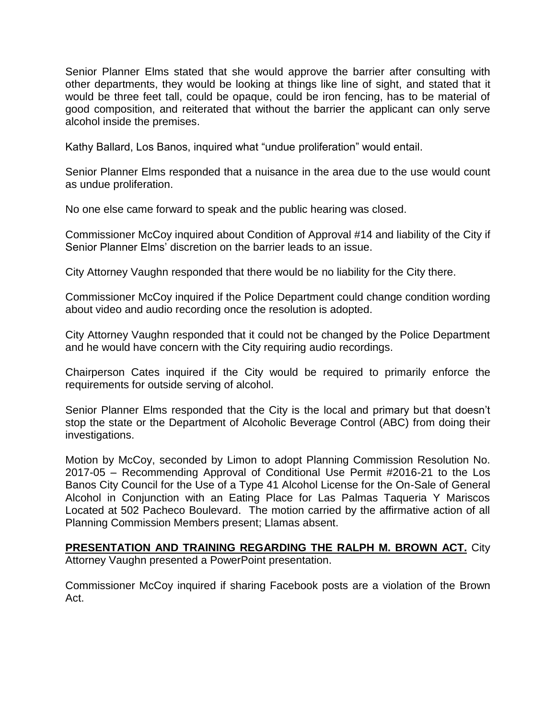Senior Planner Elms stated that she would approve the barrier after consulting with other departments, they would be looking at things like line of sight, and stated that it would be three feet tall, could be opaque, could be iron fencing, has to be material of good composition, and reiterated that without the barrier the applicant can only serve alcohol inside the premises.

Kathy Ballard, Los Banos, inquired what "undue proliferation" would entail.

Senior Planner Elms responded that a nuisance in the area due to the use would count as undue proliferation.

No one else came forward to speak and the public hearing was closed.

Commissioner McCoy inquired about Condition of Approval #14 and liability of the City if Senior Planner Elms' discretion on the barrier leads to an issue.

City Attorney Vaughn responded that there would be no liability for the City there.

Commissioner McCoy inquired if the Police Department could change condition wording about video and audio recording once the resolution is adopted.

City Attorney Vaughn responded that it could not be changed by the Police Department and he would have concern with the City requiring audio recordings.

Chairperson Cates inquired if the City would be required to primarily enforce the requirements for outside serving of alcohol.

Senior Planner Elms responded that the City is the local and primary but that doesn't stop the state or the Department of Alcoholic Beverage Control (ABC) from doing their investigations.

Motion by McCoy, seconded by Limon to adopt Planning Commission Resolution No. 2017-05 – Recommending Approval of Conditional Use Permit #2016-21 to the Los Banos City Council for the Use of a Type 41 Alcohol License for the On-Sale of General Alcohol in Conjunction with an Eating Place for Las Palmas Taqueria Y Mariscos Located at 502 Pacheco Boulevard. The motion carried by the affirmative action of all Planning Commission Members present; Llamas absent.

**PRESENTATION AND TRAINING REGARDING THE RALPH M. BROWN ACT.** City Attorney Vaughn presented a PowerPoint presentation.

Commissioner McCoy inquired if sharing Facebook posts are a violation of the Brown Act.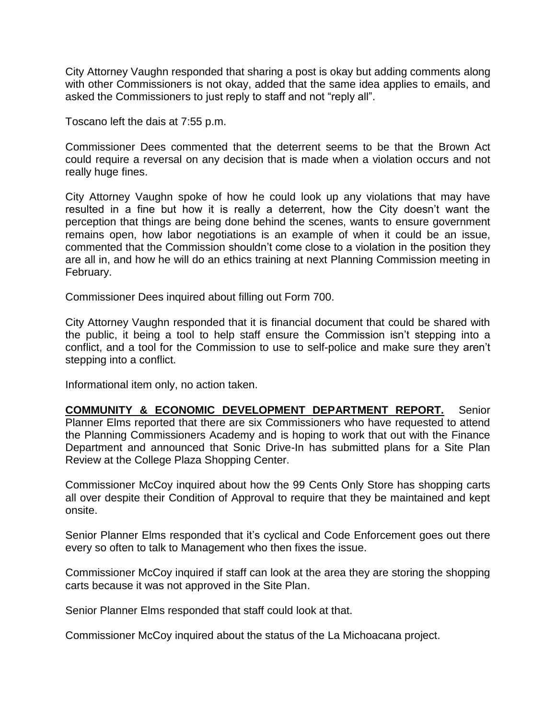City Attorney Vaughn responded that sharing a post is okay but adding comments along with other Commissioners is not okay, added that the same idea applies to emails, and asked the Commissioners to just reply to staff and not "reply all".

Toscano left the dais at 7:55 p.m.

Commissioner Dees commented that the deterrent seems to be that the Brown Act could require a reversal on any decision that is made when a violation occurs and not really huge fines.

City Attorney Vaughn spoke of how he could look up any violations that may have resulted in a fine but how it is really a deterrent, how the City doesn't want the perception that things are being done behind the scenes, wants to ensure government remains open, how labor negotiations is an example of when it could be an issue, commented that the Commission shouldn't come close to a violation in the position they are all in, and how he will do an ethics training at next Planning Commission meeting in February.

Commissioner Dees inquired about filling out Form 700.

City Attorney Vaughn responded that it is financial document that could be shared with the public, it being a tool to help staff ensure the Commission isn't stepping into a conflict, and a tool for the Commission to use to self-police and make sure they aren't stepping into a conflict.

Informational item only, no action taken.

**COMMUNITY & ECONOMIC DEVELOPMENT DEPARTMENT REPORT.** Senior Planner Elms reported that there are six Commissioners who have requested to attend the Planning Commissioners Academy and is hoping to work that out with the Finance Department and announced that Sonic Drive-In has submitted plans for a Site Plan Review at the College Plaza Shopping Center.

Commissioner McCoy inquired about how the 99 Cents Only Store has shopping carts all over despite their Condition of Approval to require that they be maintained and kept onsite.

Senior Planner Elms responded that it's cyclical and Code Enforcement goes out there every so often to talk to Management who then fixes the issue.

Commissioner McCoy inquired if staff can look at the area they are storing the shopping carts because it was not approved in the Site Plan.

Senior Planner Elms responded that staff could look at that.

Commissioner McCoy inquired about the status of the La Michoacana project.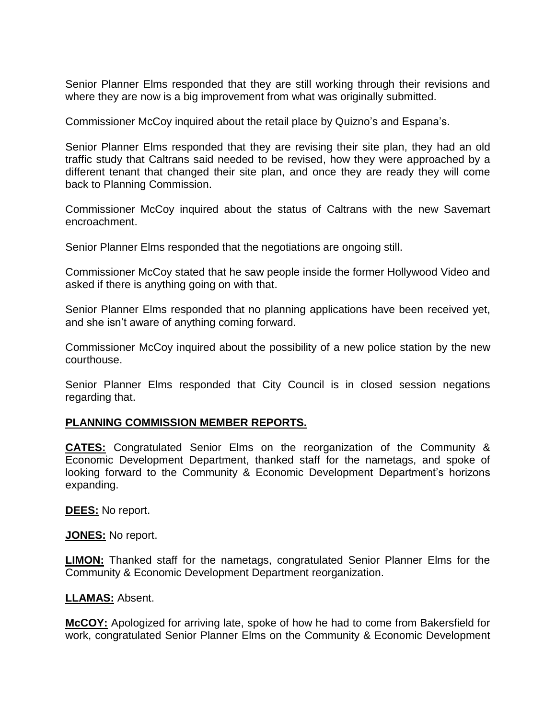Senior Planner Elms responded that they are still working through their revisions and where they are now is a big improvement from what was originally submitted.

Commissioner McCoy inquired about the retail place by Quizno's and Espana's.

Senior Planner Elms responded that they are revising their site plan, they had an old traffic study that Caltrans said needed to be revised, how they were approached by a different tenant that changed their site plan, and once they are ready they will come back to Planning Commission.

Commissioner McCoy inquired about the status of Caltrans with the new Savemart encroachment.

Senior Planner Elms responded that the negotiations are ongoing still.

Commissioner McCoy stated that he saw people inside the former Hollywood Video and asked if there is anything going on with that.

Senior Planner Elms responded that no planning applications have been received yet, and she isn't aware of anything coming forward.

Commissioner McCoy inquired about the possibility of a new police station by the new courthouse.

Senior Planner Elms responded that City Council is in closed session negations regarding that.

## **PLANNING COMMISSION MEMBER REPORTS.**

**CATES:** Congratulated Senior Elms on the reorganization of the Community & Economic Development Department, thanked staff for the nametags, and spoke of looking forward to the Community & Economic Development Department's horizons expanding.

**DEES:** No report.

**JONES:** No report.

**LIMON:** Thanked staff for the nametags, congratulated Senior Planner Elms for the Community & Economic Development Department reorganization.

## **LLAMAS:** Absent.

**McCOY:** Apologized for arriving late, spoke of how he had to come from Bakersfield for work, congratulated Senior Planner Elms on the Community & Economic Development